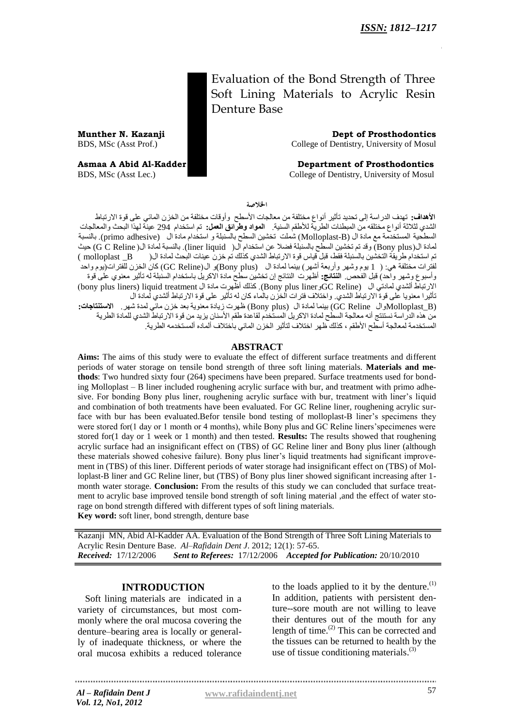Evaluation of the Bond Strength of Three Soft Lining Materials to Acrylic Resin Denture Base

**Munther N. Kazanji Dept of Prosthodontics** BDS, MSc (Asst Prof.) College of Dentistry, University of Mosul

**Asmaa A Abid Al-Kadder 2008 Consumersion Consumersion Assume A Abid Al-Kadder 2008 Consumersion Consumersion Consumersion Consumersion Consumersion Consumersion Consumersion Consumersion Consumersion Consumersion Consumer** BDS, MSc (Asst Lec.) College of Dentistry, University of Mosul

الخلاصة

**الأهداف:** تهدف الدراسة إلى تحديد تأثير أنواع مختلفة من معالجات الأسطح ۖ وأوقات مختلفة من الخزن المائي على قوة الارتباط الشدي لثلاثة أنواع مختلقه من المبطنات الطرية للأطقم السنية. **المواد وطرائق العمل:** تم استخدام 294 عينة لهذا البحث والمعالجات السطحية المستخدمة مع مادة ال (Molloplast-B) شملت تخشين السطح بالسنبلة و استخدام مادة ال (primo adhesive). بالنسبة لمادة ال(Bony plus ) وقد تم تخشين السطح بالسنبلة فضلا عن استخدام ال( liner liquid). بالنسبة لمادة ال( G C Reline) حيث حن اسخخذام عزٌقت الخخشٍي بالسٌبلت فقظ, قبل قٍاص قْة االرحباط الشذي كذلك حن خشى عٌٍاث البحث لوادة ال) B \_molloplast( لفترات مختلفة هي: ( 1 يوم وشهر وأربعة أشهر) بينما لمادة ال (Bony plus)و ال(GC Reline) كانَ الخزن للفترات(يوم واحد رأسبوع وشهر واحد) قبل الفحص. **النتائج:** أظهرت النتائج إن تخشين سطح مادة الاكريل باستخدام السنبلة له تأثير معنوي على قوة )bony plus liners) liquid treatment ال هادة زثِأظ كذلك .)Bony plus linerّGC Reline) ال ًلوادح ألشذي االرحباط تأثيرا معنويا على قوة الارتباط الشدي. واختلاف فترات الخزن بالماء كان له تأثير على قوة الارتباط ألشدي لمادة ال (Molloplast\_B) بينما لمادة ال (Bony plus )ظهرت زيادة معنوية بعد خزن مائّي لمدة شهر. الا**ستنتاجات:** .<br>من هذه الدراسة نستنتج أنه معالجة السطح لمادة الاكريل المستخدم لقاعدة طقم الأسنان يزيد من قوة الارتباط الشدي للمادة الطرية المستخدمة لمعالجة أسطح الأطقم ، كذلك ظهر اختلاف لتأثير الخز ن المائي باختلاف ألماده ألمستخدمه الطر ية ٍ

#### **ABSTRACT**

**Aims:** The aims of this study were to evaluate the effect of different surface treatments and different periods of water storage on tensile bond strength of three soft lining materials. **Materials and methods**: Two hundred sixty four (264) specimens have been prepared. Surface treatments used for bonding Molloplast – B liner included roughening acrylic surface with bur, and treatment with primo adhesive. For bonding Bony plus liner, roughening acrylic surface with bur, treatment with liner's liquid and combination of both treatments have been evaluated. For GC Reline liner, roughening acrylic surface with bur has been evaluated.Befor tensile bond testing of molloplast-B liner's specimens they were stored for(1 day or 1 month or 4 months), while Bony plus and GC Reline liners'specimenes were stored for(1 day or 1 week or 1 month) and then tested. **Results:** The results showed that roughening acrylic surface had an insignificant effect on (TBS) of GC Reline liner and Bony plus liner (although these materials showed cohesive failure). Bony plus liner's liquid treatments had significant improvement in (TBS) of this liner. Different periods of water storage had insignificant effect on (TBS) of Molloplast-B liner and GC Reline liner, but (TBS) of Bony plus liner showed significant increasing after 1 month water storage. **Conclusion:** From the results of this study we can concluded that surface treatment to acrylic base improved tensile bond strength of soft lining material ,and the effect of water storage on bond strength differed with different types of soft lining materials. **Key word:** soft liner, bond strength, denture base

Kazanji MN, Abid Al-Kadder AA. Evaluation of the Bond Strength of Three Soft Lining Materials to Acrylic Resin Denture Base. *Al–Rafidain Dent J*. 2012; 12(1): 57-65. *Received:* 17/12/2006 *Sent to Referees:* 17/12/2006 *Accepted for Publication:* 20/10/2010

### **INTRODUCTION**

Soft lining materials are indicated in a variety of circumstances, but most commonly where the oral mucosa covering the denture–bearing area is locally or generally of inadequate thickness, or where the oral mucosa exhibits a reduced tolerance

to the loads applied to it by the denture. $^{(1)}$ In addition, patients with persistent denture--sore mouth are not willing to leave their dentures out of the mouth for any length of time. (2) This can be corrected and the tissues can be returned to health by the use of tissue conditioning materials. $^{(3)}$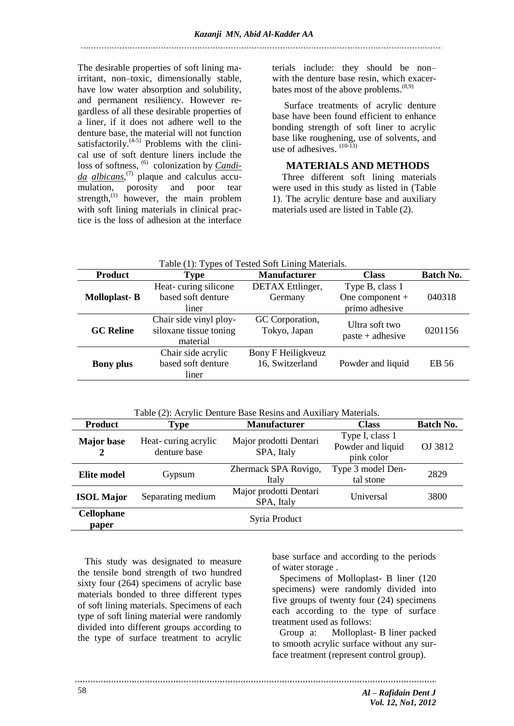The desirable properties of soft lining ma- terials include: they should be non– irritant, non–toxic, dimensionally stable, have low water absorption and solubility, and permanent resiliency. However regardless of all these desirable properties of a liner, if it does not adhere well to the denture base, the material will not function satisfactorily. $(4-5)$  Problems with the clinical use of soft denture liners include the loss of softness, <sup>(6)</sup> colonization by *Candida albicans*, (7) plaque and calculus accumulation, porosity and poor tear strength,<sup>(1)</sup> however, the main problem with soft lining materials in clinical practice is the loss of adhesion at the interface

with the denture base resin, which exacerbates most of the above problems.<sup>(8,9)</sup>

 Surface treatments of acrylic denture base have been found efficient to enhance bonding strength of soft liner to acrylic base like roughening, use of solvents, and use of adhesives.  $(10-13)$ 

# **MATERIALS AND METHODS**

Three different soft lining materials were used in this study as listed in (Table 1). The acrylic denture base and auxiliary materials used are listed in Table (2).

|                     |                                                              | Table (1): Types of Tested Soft Lining Materials. |                                                        |           |
|---------------------|--------------------------------------------------------------|---------------------------------------------------|--------------------------------------------------------|-----------|
| <b>Product</b>      | Type                                                         | <b>Manufacturer</b>                               | <b>Class</b>                                           | Batch No. |
| <b>Molloplast-B</b> | Heat-curing silicone<br>based soft denture<br>liner          | DETAX Ettlinger,<br>Germany                       | Type B, class 1<br>One component $+$<br>primo adhesive | 040318    |
| <b>GC Reline</b>    | Chair side vinyl ploy-<br>siloxane tissue toning<br>material | GC Corporation,<br>Tokyo, Japan                   | Ultra soft two<br>$paste + adhesive$                   | 0201156   |
| <b>Bony plus</b>    | Chair side acrylic<br>based soft denture<br>liner            | Bony F Heiligkveuz<br>16, Switzerland             | Powder and liquid                                      | EB 56     |

Table (2): Acrylic Denture Base Resins and Auxiliary Materials.

| <b>Product</b>             | <b>Type</b>                         | <b>Manufacturer</b>                  | <b>Class</b>                                       | Batch No. |
|----------------------------|-------------------------------------|--------------------------------------|----------------------------------------------------|-----------|
| <b>Major</b> base<br>2     | Heat-curing acrylic<br>denture base | Major prodotti Dentari<br>SPA, Italy | Type I, class 1<br>Powder and liquid<br>pink color | OJ 3812   |
| <b>Elite model</b>         | Gypsum                              | Zhermack SPA Rovigo,<br>Italy        | Type 3 model Den-<br>tal stone                     | 2829      |
| <b>ISOL Major</b>          | Separating medium                   | Major prodotti Dentari<br>SPA, Italy | Universal                                          | 3800      |
| <b>Cellophane</b><br>paper |                                     | Syria Product                        |                                                    |           |

 This study was designated to measure the tensile bond strength of two hundred sixty four (264) specimens of acrylic base materials bonded to three different types of soft lining materials. Specimens of each type of soft lining material were randomly divided into different groups according to the type of surface treatment to acrylic

base surface and according to the periods of water storage .

Specimens of Molloplast- B liner (120 specimens) were randomly divided into five groups of twenty four (24) specimens each according to the type of surface treatment used as follows:

Group a: Molloplast- B liner packed to smooth acrylic surface without any surface treatment (represent control group).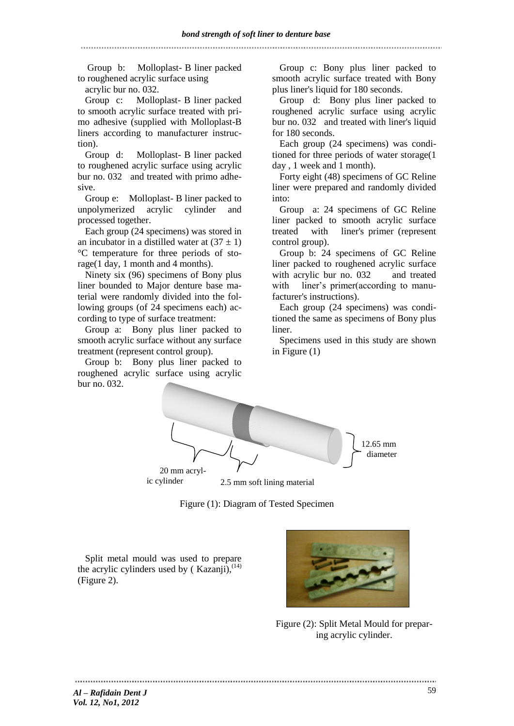Group b: Molloplast- B liner packed to roughened acrylic surface using

acrylic bur no. 032.

Group c: Molloplast- B liner packed to smooth acrylic surface treated with primo adhesive (supplied with Molloplast-B liners according to manufacturer instruction).

Group d: Molloplast- B liner packed to roughened acrylic surface using acrylic bur no. 032 and treated with primo adhesive.

Group e: Molloplast- B liner packed to unpolymerized acrylic cylinder and processed together.

Each group (24 specimens) was stored in an incubator in a distilled water at  $(37 \pm 1)$ °C temperature for three periods of storage(1 day, 1 month and 4 months).

Ninety six (96) specimens of Bony plus liner bounded to Major denture base material were randomly divided into the following groups (of 24 specimens each) according to type of surface treatment:

Group a: Bony plus liner packed to smooth acrylic surface without any surface treatment (represent control group).

Group b: Bony plus liner packed to roughened acrylic surface using acrylic bur no. 032.

Group c: Bony plus liner packed to smooth acrylic surface treated with Bony plus liner's liquid for 180 seconds.

Group d: Bony plus liner packed to roughened acrylic surface using acrylic bur no. 032 and treated with liner's liquid for 180 seconds.

Each group (24 specimens) was conditioned for three periods of water storage(1 day , 1 week and 1 month).

Forty eight (48) specimens of GC Reline liner were prepared and randomly divided into:

Group a: 24 specimens of GC Reline liner packed to smooth acrylic surface treated with liner's primer (represent control group).

Group b: 24 specimens of GC Reline liner packed to roughened acrylic surface with acrylic bur no. 032 and treated with liner's primer(according to manufacturer's instructions).

Each group (24 specimens) was conditioned the same as specimens of Bony plus liner.

Specimens used in this study are shown in Figure (1)





Split metal mould was used to prepare the acrylic cylinders used by (Kazanji),  $(14)$ (Figure 2).



Figure (2): Split Metal Mould for preparing acrylic cylinder.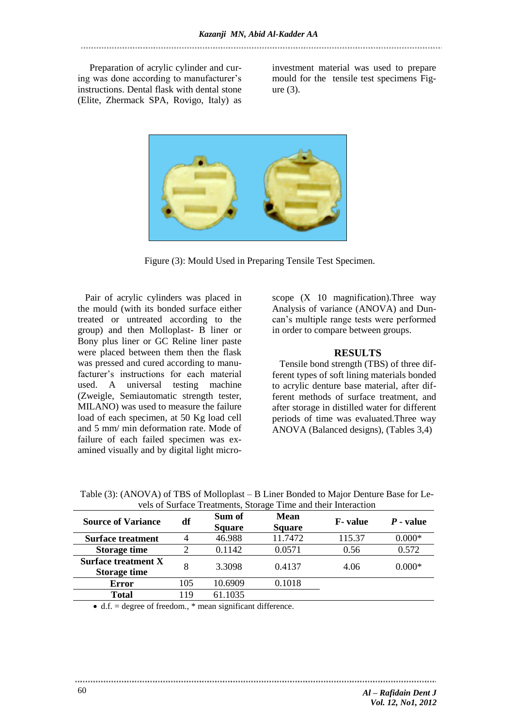Preparation of acrylic cylinder and curing was done according to manufacturer's instructions. Dental flask with dental stone (Elite, Zhermack SPA, Rovigo, Italy) as

investment material was used to prepare mould for the tensile test specimens Figure (3).



Figure (3): Mould Used in Preparing Tensile Test Specimen.

Pair of acrylic cylinders was placed in the mould (with its bonded surface either treated or untreated according to the group) and then Molloplast- B liner or Bony plus liner or GC Reline liner paste were placed between them then the flask was pressed and cured according to manufacturer's instructions for each material used. A universal testing machine (Zweigle, Semiautomatic strength tester, MILANO) was used to measure the failure load of each specimen, at 50 Kg load cell and 5 mm/ min deformation rate. Mode of failure of each failed specimen was examined visually and by digital light microscope  $(X \ 10 \ \text{magnification})$ . Three way Analysis of variance (ANOVA) and Duncan's multiple range tests were performed in order to compare between groups.

### **RESULTS**

Tensile bond strength (TBS) of three different types of soft lining materials bonded to acrylic denture base material, after different methods of surface treatment, and after storage in distilled water for different periods of time was evaluated.Three way ANOVA (Balanced designs), (Tables 3,4)

| Table (3): (ANOVA) of TBS of Molloplast – B Liner Bonded to Major Denture Base for Le- |
|----------------------------------------------------------------------------------------|
| vels of Surface Treatments, Storage Time and their Interaction                         |

|                                                                                                                        |     |                         | vers of Burface Treatments, Biorage Thine and their Interaction |                 |             |
|------------------------------------------------------------------------------------------------------------------------|-----|-------------------------|-----------------------------------------------------------------|-----------------|-------------|
| <b>Source of Variance</b>                                                                                              | df  | Sum of<br><b>Square</b> | <b>Mean</b><br><b>Square</b>                                    | <b>F</b> -value | $P$ - value |
| <b>Surface treatment</b>                                                                                               |     | 46.988                  | 11.7472                                                         | 115.37          | $0.000*$    |
| <b>Storage time</b>                                                                                                    |     | 0.1142                  | 0.0571                                                          | 0.56            | 0.572       |
| <b>Surface treatment X</b><br><b>Storage time</b>                                                                      | 8   | 3.3098                  | 0.4137                                                          | 4.06            | $0.000*$    |
| Error                                                                                                                  | 105 | 10.6909                 | 0.1018                                                          |                 |             |
| <b>Total</b>                                                                                                           | 119 | 61.1035                 |                                                                 |                 |             |
| $\sim$ 1.0 $\sim$ 1.0 $\sim$ 0.0 $\sim$ 0.0 $\sim$ 1.0 $\sim$ 4.0 $\sim$ 0.0 $\sim$ 1.00 $\sim$ 1.00 $\sim$ 0.0 $\sim$ |     |                         |                                                                 |                 |             |

 $\bullet$  d.f. = degree of freedom.,  $*$  mean significant difference.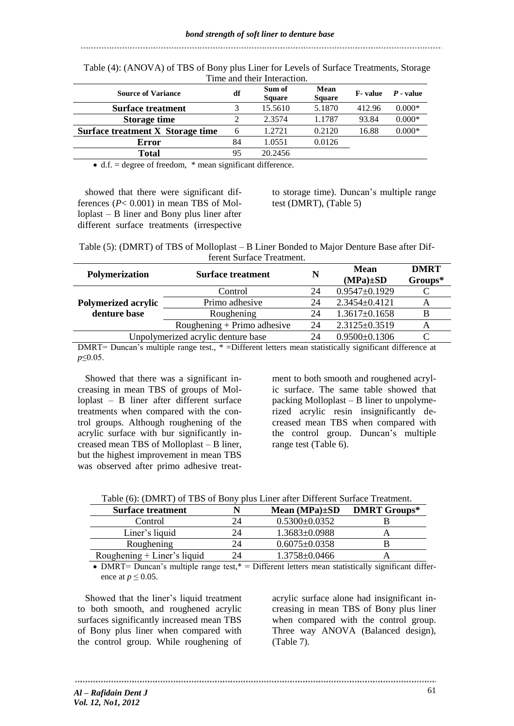|                                         |                | тине ани июн инегасион. |                       |                 |             |
|-----------------------------------------|----------------|-------------------------|-----------------------|-----------------|-------------|
| <b>Source of Variance</b>               | df             | Sum of<br><b>Square</b> | Mean<br><b>Square</b> | <b>F</b> -value | $P$ - value |
| <b>Surface treatment</b>                | 3              | 15.5610                 | 5.1870                | 412.96          | $0.000*$    |
| <b>Storage time</b>                     | 2              | 2.3574                  | 1.1787                | 93.84           | $0.000*$    |
| Surface treatment X Storage time        | 6              | 1.2721                  | 0.2120                | 16.88           | $0.000*$    |
| Error                                   | 84             | 1.0551                  | 0.0126                |                 |             |
| <b>Total</b>                            | 95             | 20.2456                 |                       |                 |             |
| $\sim$ $\sim$<br>$\mathbf{a}$<br>$\sim$ | $\cdot$ $\sim$ | $\sim$ 1.00             |                       |                 |             |

Table (4): (ANOVA) of TBS of Bony plus Liner for Levels of Surface Treatments, Storage Time and their Interaction.

 $\bullet$  d.f. = degree of freedom,  $*$  mean significant difference.

showed that there were significant differences  $(P< 0.001)$  in mean TBS of Molloplast – B liner and Bony plus liner after different surface treatments (irrespective

to storage time). Duncan's multiple range test (DMRT), (Table 5)

| Table (5): (DMRT) of TBS of Molloplast – B Liner Bonded to Major Denture Base after Dif- |
|------------------------------------------------------------------------------------------|
| ferent Surface Treatment.                                                                |

| Polymerization             | <b>Surface treatment</b>           | N  | Mean<br>$(MPa) \pm SD$ | <b>DMRT</b><br>Groups* |
|----------------------------|------------------------------------|----|------------------------|------------------------|
|                            | Control                            | 24 | $0.9547 \pm 0.1929$    |                        |
| <b>Polymerized acrylic</b> | Primo adhesive                     | 24 | $2.3454 \pm 0.4121$    |                        |
| denture base               | Roughening                         | 24 | $1.3617\pm0.1658$      | B                      |
|                            | Roughening + Primo adhesive        | 24 | $2.3125 \pm 0.3519$    | А                      |
|                            | Unpolymerized acrylic denture base | 24 | $0.9500 \pm 0.1306$    |                        |
| $\mathbf{m}$               |                                    |    |                        |                        |

DMRT= Duncan's multiple range test., \* =Different letters mean statistically significant difference at *p*≤0.05.

Showed that there was a significant increasing in mean TBS of groups of Molloplast – B liner after different surface treatments when compared with the control groups. Although roughening of the acrylic surface with bur significantly increased mean TBS of Molloplast – B liner, but the highest improvement in mean TBS was observed after primo adhesive treat-

ment to both smooth and roughened acrylic surface. The same table showed that packing Molloplast – B liner to unpolymerized acrylic resin insignificantly decreased mean TBS when compared with the control group. Duncan's multiple range test (Table 6).

| <b>Surface treatment</b>      | Mean $(MPa) \pm SD$ | <b>DMRT Groups*</b> |
|-------------------------------|---------------------|---------------------|
| Control                       | $0.5300 \pm 0.0352$ |                     |
| Liner's liquid                | $1.3683 \pm 0.0988$ |                     |
| Roughening                    | $0.6075 \pm 0.0358$ |                     |
| Roughening $+$ Liner's liquid | $1.3758 \pm 0.0466$ |                     |

• DMRT= Duncan's multiple range test, $* =$  Different letters mean statistically significant difference at  $p \leq 0.05$ .

Showed that the liner's liquid treatment to both smooth, and roughened acrylic surfaces significantly increased mean TBS of Bony plus liner when compared with the control group. While roughening of

acrylic surface alone had insignificant increasing in mean TBS of Bony plus liner when compared with the control group. Three way ANOVA (Balanced design), (Table 7).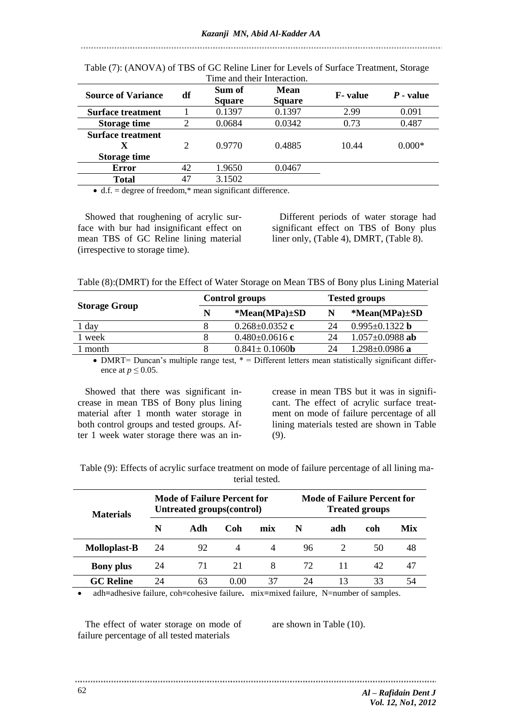|                           |                             | Time and their Interaction. |                       |                 |             |
|---------------------------|-----------------------------|-----------------------------|-----------------------|-----------------|-------------|
| <b>Source of Variance</b> | df                          | Sum of<br><b>Square</b>     | Mean<br><b>Square</b> | <b>F</b> -value | $P$ - value |
| <b>Surface treatment</b>  |                             | 0.1397                      | 0.1397                | 2.99            | 0.091       |
| <b>Storage time</b>       | $\overline{2}$              | 0.0684                      | 0.0342                | 0.73            | 0.487       |
| <b>Surface treatment</b>  |                             |                             |                       |                 |             |
| X                         | $\mathcal{D}_{\mathcal{L}}$ | 0.9770                      | 0.4885                | 10.44           | $0.000*$    |
| <b>Storage time</b>       |                             |                             |                       |                 |             |
| <b>Error</b>              | 42                          | 1.9650                      | 0.0467                |                 |             |
| Total                     | 47                          | 3.1502                      |                       |                 |             |

Table (7): (ANOVA) of TBS of GC Reline Liner for Levels of Surface Treatment, Storage

 $\bullet$  d.f. = degree of freedom,\* mean significant difference.

Showed that roughening of acrylic surface with bur had insignificant effect on mean TBS of GC Reline lining material (irrespective to storage time).

Different periods of water storage had significant effect on TBS of Bony plus liner only, (Table 4), DMRT, (Table 8).

Table (8):(DMRT) for the Effect of Water Storage on Mean TBS of Bony plus Lining Material

|                      |   | <b>Control groups</b>       |    | <b>Tested groups</b>  |
|----------------------|---|-----------------------------|----|-----------------------|
| <b>Storage Group</b> | N | $*Mean(MPa) \pm SD$         | N  | $*Mean(MPa) \pm SD$   |
| 1 day                |   | $0.268 \pm 0.0352$ c        | 24 | $0.995 \pm 0.1322$ b  |
| week                 |   | $0.480 \pm 0.0616$ c        | 24 | $1.057 \pm 0.0988$ ab |
| month                |   | $0.841 \pm 0.1060$ <b>b</b> | 24 | $1.298 \pm 0.0986$ a  |

• DMRT= Duncan's multiple range test,  $* =$  Different letters mean statistically significant difference at  $p \leq 0.05$ .

Showed that there was significant increase in mean TBS of Bony plus lining material after 1 month water storage in both control groups and tested groups. After 1 week water storage there was an increase in mean TBS but it was in significant. The effect of acrylic surface treatment on mode of failure percentage of all lining materials tested are shown in Table (9).

| Table (9): Effects of acrylic surface treatment on mode of failure percentage of all lining ma- |                |  |
|-------------------------------------------------------------------------------------------------|----------------|--|
|                                                                                                 | terial tested. |  |

| <b>Materials</b>    | Mode of Failure Percent for<br>Untreated groups(control) |     |      |                | Mode of Failure Percent for<br><b>Treated groups</b> |     |     |     |
|---------------------|----------------------------------------------------------|-----|------|----------------|------------------------------------------------------|-----|-----|-----|
|                     | N                                                        | Adh | Coh  | mix            | N                                                    | adh | coh | Mix |
| <b>Molloplast-B</b> | 24                                                       | 92  | 4    | $\overline{4}$ | 96                                                   |     | 50  | 48  |
| <b>Bony</b> plus    | 24                                                       | 71  | 21   | 8              | 72                                                   |     | 42  | 47  |
| <b>GC</b> Reline    | 24                                                       | 63  | 0.00 | 37             | 24                                                   | 13  | 33  |     |

adh**=**adhesive failure, coh**=**cohesive failure**.** mix**=**mixed failure, N=number of samples.

The effect of water storage on mode of failure percentage of all tested materials

are shown in Table (10).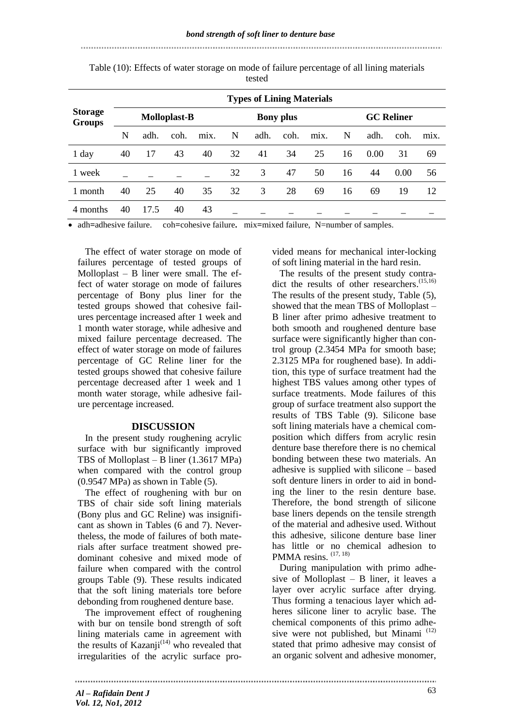# **Storage Groups Types of Lining Materials Molloplast-B Bony plus GC Reliner** N adh. coh. mix. N adh. coh. mix. N adh. coh. mix. 1 day 40 17 43 40 32 41 34 25 16 0.00 31 69 1 week \_ \_ \_ \_ \_ 32 3 47 50 16 44 0.00 56 1 month 40 25 40 35 32 3 28 69 16 69 19 12 4 months 40 17.5 40 43 \_ \_ \_ \_ \_ \_ \_ \_ \_ \_ \_

Table (10): Effects of water storage on mode of failure percentage of all lining materials tested

adh**=**adhesive failure. coh**=**cohesive failure**.** mix**=**mixed failure, N=number of samples.

The effect of water storage on mode of failures percentage of tested groups of Molloplast – B liner were small. The effect of water storage on mode of failures percentage of Bony plus liner for the tested groups showed that cohesive failures percentage increased after 1 week and 1 month water storage, while adhesive and mixed failure percentage decreased. The effect of water storage on mode of failures percentage of GC Reline liner for the tested groups showed that cohesive failure percentage decreased after 1 week and 1 month water storage, while adhesive failure percentage increased.

### **DISCUSSION**

In the present study roughening acrylic surface with bur significantly improved TBS of Molloplast – B liner (1.3617 MPa) when compared with the control group (0.9547 MPa) as shown in Table (5).

The effect of roughening with bur on TBS of chair side soft lining materials (Bony plus and GC Reline) was insignificant as shown in Tables (6 and 7). Nevertheless, the mode of failures of both materials after surface treatment showed predominant cohesive and mixed mode of failure when compared with the control groups Table (9). These results indicated that the soft lining materials tore before debonding from roughened denture base.

The improvement effect of roughening with bur on tensile bond strength of soft lining materials came in agreement with the results of Kazanji<sup>(14)</sup> who revealed that irregularities of the acrylic surface provided means for mechanical inter-locking of soft lining material in the hard resin.

The results of the present study contradict the results of other researchers.<sup>(15,16)</sup> The results of the present study, Table (5), showed that the mean TBS of Molloplast – B liner after primo adhesive treatment to both smooth and roughened denture base surface were significantly higher than control group (2.3454 MPa for smooth base; 2.3125 MPa for roughened base). In addition, this type of surface treatment had the highest TBS values among other types of surface treatments. Mode failures of this group of surface treatment also support the results of TBS Table (9). Silicone base soft lining materials have a chemical composition which differs from acrylic resin denture base therefore there is no chemical bonding between these two materials. An adhesive is supplied with silicone – based soft denture liners in order to aid in bonding the liner to the resin denture base. Therefore, the bond strength of silicone base liners depends on the tensile strength of the material and adhesive used. Without this adhesive, silicone denture base liner has little or no chemical adhesion to PMMA resins.  $(17, 18)$ 

During manipulation with primo adhesive of Molloplast – B liner, it leaves a layer over acrylic surface after drying. Thus forming a tenacious layer which adheres silicone liner to acrylic base. The chemical components of this primo adhesive were not published, but Minami<sup>(12)</sup> stated that primo adhesive may consist of an organic solvent and adhesive monomer,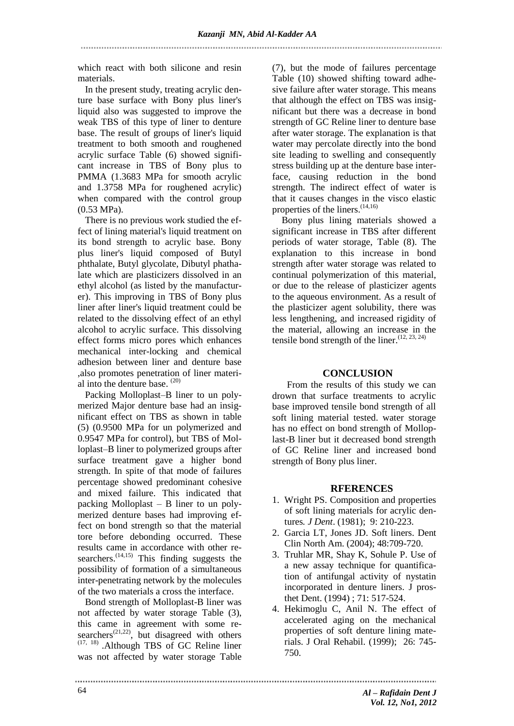which react with both silicone and resin materials.

In the present study, treating acrylic denture base surface with Bony plus liner's liquid also was suggested to improve the weak TBS of this type of liner to denture base. The result of groups of liner's liquid treatment to both smooth and roughened acrylic surface Table (6) showed significant increase in TBS of Bony plus to PMMA (1.3683 MPa for smooth acrylic and 1.3758 MPa for roughened acrylic) when compared with the control group (0.53 MPa).

There is no previous work studied the effect of lining material's liquid treatment on its bond strength to acrylic base. Bony plus liner's liquid composed of Butyl phthalate, Butyl glycolate, Dibutyl phathalate which are plasticizers dissolved in an ethyl alcohol (as listed by the manufacturer). This improving in TBS of Bony plus liner after liner's liquid treatment could be related to the dissolving effect of an ethyl alcohol to acrylic surface. This dissolving effect forms micro pores which enhances mechanical inter-locking and chemical adhesion between liner and denture base ,also promotes penetration of liner material into the denture base. (20)

Packing Molloplast–B liner to un polymerized Major denture base had an insignificant effect on TBS as shown in table (5) (0.9500 MPa for un polymerized and 0.9547 MPa for control), but TBS of Molloplast–B liner to polymerized groups after surface treatment gave a higher bond strength. In spite of that mode of failures percentage showed predominant cohesive and mixed failure. This indicated that packing Molloplast – B liner to un polymerized denture bases had improving effect on bond strength so that the material tore before debonding occurred. These results came in accordance with other researchers.<sup>(14,15)</sup> This finding suggests the possibility of formation of a simultaneous inter-penetrating network by the molecules of the two materials a cross the interface.

Bond strength of Molloplast-B liner was not affected by water storage Table (3), this came in agreement with some researchers<sup>(21,22)</sup>, but disagreed with others  $(17, 18)$  . Although TBS of GC Reline liner was not affected by water storage Table

(7), but the mode of failures percentage Table (10) showed shifting toward adhesive failure after water storage. This means that although the effect on TBS was insignificant but there was a decrease in bond strength of GC Reline liner to denture base after water storage. The explanation is that water may percolate directly into the bond site leading to swelling and consequently stress building up at the denture base interface, causing reduction in the bond strength. The indirect effect of water is that it causes changes in the visco elastic properties of the liners.<sup>(14,16)</sup>

 Bony plus lining materials showed a significant increase in TBS after different periods of water storage, Table (8). The explanation to this increase in bond strength after water storage was related to continual polymerization of this material, or due to the release of plasticizer agents to the aqueous environment. As a result of the plasticizer agent solubility, there was less lengthening, and increased rigidity of the material, allowing an increase in the tensile bond strength of the liner.<sup> $(12, 23, 24)$ </sup>

# **CONCLUSION**

From the results of this study we can drown that surface treatments to acrylic base improved tensile bond strength of all soft lining material tested. water storage has no effect on bond strength of Molloplast-B liner but it decreased bond strength of GC Reline liner and increased bond strength of Bony plus liner.

# **RFERENCES**

- 1. Wright PS. Composition and properties of soft lining materials for acrylic dentures*. J Dent*. (1981); 9: 210-223.
- 2. Garcia LT, Jones JD. Soft liners. Dent Clin North Am. (2004); 48:709-720.
- 3. Truhlar MR, Shay K, Sohule P. Use of a new assay technique for quantification of antifungal activity of nystatin incorporated in denture liners. J prosthet Dent. (1994) ; 71: 517-524.
- 4. Hekimoglu C, Anil N. The effect of accelerated aging on the mechanical properties of soft denture lining materials. J Oral Rehabil. (1999); 26: 745- 750.